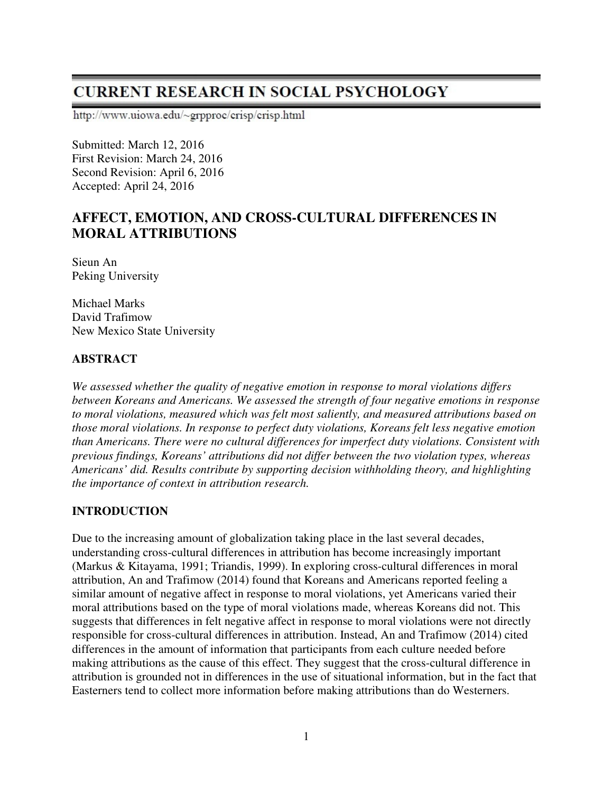# **CURRENT RESEARCH IN SOCIAL PSYCHOLOGY**

http://www.uiowa.edu/~grpproc/crisp/crisp.html

Submitted: March 12, 2016 First Revision: March 24, 2016 Second Revision: April 6, 2016 Accepted: April 24, 2016

## **AFFECT, EMOTION, AND CROSS-CULTURAL DIFFERENCES IN MORAL ATTRIBUTIONS**

Sieun An Peking University

Michael Marks David Trafimow New Mexico State University

## **ABSTRACT**

*We assessed whether the quality of negative emotion in response to moral violations differs between Koreans and Americans. We assessed the strength of four negative emotions in response to moral violations, measured which was felt most saliently, and measured attributions based on those moral violations. In response to perfect duty violations, Koreans felt less negative emotion than Americans. There were no cultural differences for imperfect duty violations. Consistent with previous findings, Koreans' attributions did not differ between the two violation types, whereas Americans' did. Results contribute by supporting decision withholding theory, and highlighting the importance of context in attribution research.* 

## **INTRODUCTION**

Due to the increasing amount of globalization taking place in the last several decades, understanding cross-cultural differences in attribution has become increasingly important (Markus & Kitayama, 1991; Triandis, 1999). In exploring cross-cultural differences in moral attribution, An and Trafimow (2014) found that Koreans and Americans reported feeling a similar amount of negative affect in response to moral violations, yet Americans varied their moral attributions based on the type of moral violations made, whereas Koreans did not. This suggests that differences in felt negative affect in response to moral violations were not directly responsible for cross-cultural differences in attribution. Instead, An and Trafimow (2014) cited differences in the amount of information that participants from each culture needed before making attributions as the cause of this effect. They suggest that the cross-cultural difference in attribution is grounded not in differences in the use of situational information, but in the fact that Easterners tend to collect more information before making attributions than do Westerners.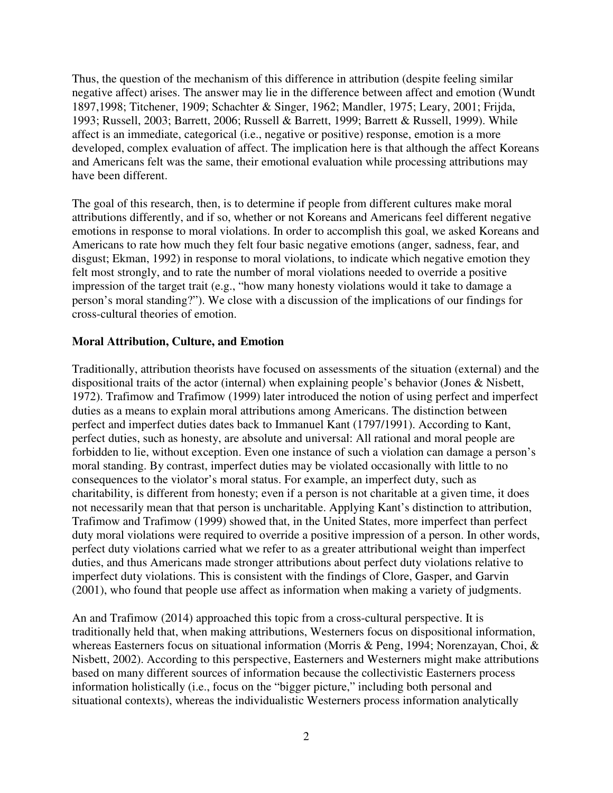Thus, the question of the mechanism of this difference in attribution (despite feeling similar negative affect) arises. The answer may lie in the difference between affect and emotion (Wundt 1897,1998; Titchener, 1909; Schachter & Singer, 1962; Mandler, 1975; Leary, 2001; Frijda, 1993; Russell, 2003; Barrett, 2006; Russell & Barrett, 1999; Barrett & Russell, 1999). While affect is an immediate, categorical (i.e., negative or positive) response, emotion is a more developed, complex evaluation of affect. The implication here is that although the affect Koreans and Americans felt was the same, their emotional evaluation while processing attributions may have been different.

The goal of this research, then, is to determine if people from different cultures make moral attributions differently, and if so, whether or not Koreans and Americans feel different negative emotions in response to moral violations. In order to accomplish this goal, we asked Koreans and Americans to rate how much they felt four basic negative emotions (anger, sadness, fear, and disgust; Ekman, 1992) in response to moral violations, to indicate which negative emotion they felt most strongly, and to rate the number of moral violations needed to override a positive impression of the target trait (e.g., "how many honesty violations would it take to damage a person's moral standing?"). We close with a discussion of the implications of our findings for cross-cultural theories of emotion.

#### **Moral Attribution, Culture, and Emotion**

Traditionally, attribution theorists have focused on assessments of the situation (external) and the dispositional traits of the actor (internal) when explaining people's behavior (Jones & Nisbett, 1972). Trafimow and Trafimow (1999) later introduced the notion of using perfect and imperfect duties as a means to explain moral attributions among Americans. The distinction between perfect and imperfect duties dates back to Immanuel Kant (1797/1991). According to Kant, perfect duties, such as honesty, are absolute and universal: All rational and moral people are forbidden to lie, without exception. Even one instance of such a violation can damage a person's moral standing. By contrast, imperfect duties may be violated occasionally with little to no consequences to the violator's moral status. For example, an imperfect duty, such as charitability, is different from honesty; even if a person is not charitable at a given time, it does not necessarily mean that that person is uncharitable. Applying Kant's distinction to attribution, Trafimow and Trafimow (1999) showed that, in the United States, more imperfect than perfect duty moral violations were required to override a positive impression of a person. In other words, perfect duty violations carried what we refer to as a greater attributional weight than imperfect duties, and thus Americans made stronger attributions about perfect duty violations relative to imperfect duty violations. This is consistent with the findings of Clore, Gasper, and Garvin (2001), who found that people use affect as information when making a variety of judgments.

An and Trafimow (2014) approached this topic from a cross-cultural perspective. It is traditionally held that, when making attributions, Westerners focus on dispositional information, whereas Easterners focus on situational information (Morris & Peng, 1994; Norenzayan, Choi, & Nisbett, 2002). According to this perspective, Easterners and Westerners might make attributions based on many different sources of information because the collectivistic Easterners process information holistically (i.e., focus on the "bigger picture," including both personal and situational contexts), whereas the individualistic Westerners process information analytically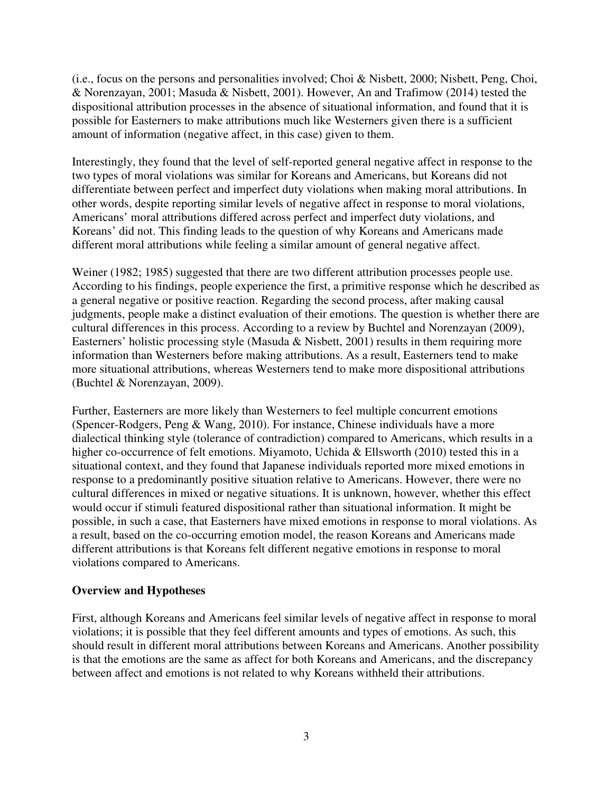(i.e., focus on the persons and personalities involved; Choi & Nisbett, 2000; Nisbett, Peng, Choi, & Norenzayan, 2001; Masuda & Nisbett, 2001). However, An and Trafimow (2014) tested the dispositional attribution processes in the absence of situational information, and found that it is possible for Easterners to make attributions much like Westerners given there is a sufficient amount of information (negative affect, in this case) given to them.

Interestingly, they found that the level of self-reported general negative affect in response to the two types of moral violations was similar for Koreans and Americans, but Koreans did not differentiate between perfect and imperfect duty violations when making moral attributions. In other words, despite reporting similar levels of negative affect in response to moral violations, Americans' moral attributions differed across perfect and imperfect duty violations, and Koreans' did not. This finding leads to the question of why Koreans and Americans made different moral attributions while feeling a similar amount of general negative affect.

Weiner (1982; 1985) suggested that there are two different attribution processes people use. According to his findings, people experience the first, a primitive response which he described as a general negative or positive reaction. Regarding the second process, after making causal judgments, people make a distinct evaluation of their emotions. The question is whether there are cultural differences in this process. According to a review by Buchtel and Norenzayan (2009), Easterners' holistic processing style (Masuda & Nisbett, 2001) results in them requiring more information than Westerners before making attributions. As a result, Easterners tend to make more situational attributions, whereas Westerners tend to make more dispositional attributions (Buchtel & Norenzayan, 2009).

Further, Easterners are more likely than Westerners to feel multiple concurrent emotions (Spencer-Rodgers, Peng & Wang, 2010). For instance, Chinese individuals have a more dialectical thinking style (tolerance of contradiction) compared to Americans, which results in a higher co-occurrence of felt emotions. Miyamoto, Uchida & Ellsworth (2010) tested this in a situational context, and they found that Japanese individuals reported more mixed emotions in response to a predominantly positive situation relative to Americans. However, there were no cultural differences in mixed or negative situations. It is unknown, however, whether this effect would occur if stimuli featured dispositional rather than situational information. It might be possible, in such a case, that Easterners have mixed emotions in response to moral violations. As a result, based on the co-occurring emotion model, the reason Koreans and Americans made different attributions is that Koreans felt different negative emotions in response to moral violations compared to Americans.

#### **Overview and Hypotheses**

First, although Koreans and Americans feel similar levels of negative affect in response to moral violations; it is possible that they feel different amounts and types of emotions. As such, this should result in different moral attributions between Koreans and Americans. Another possibility is that the emotions are the same as affect for both Koreans and Americans, and the discrepancy between affect and emotions is not related to why Koreans withheld their attributions.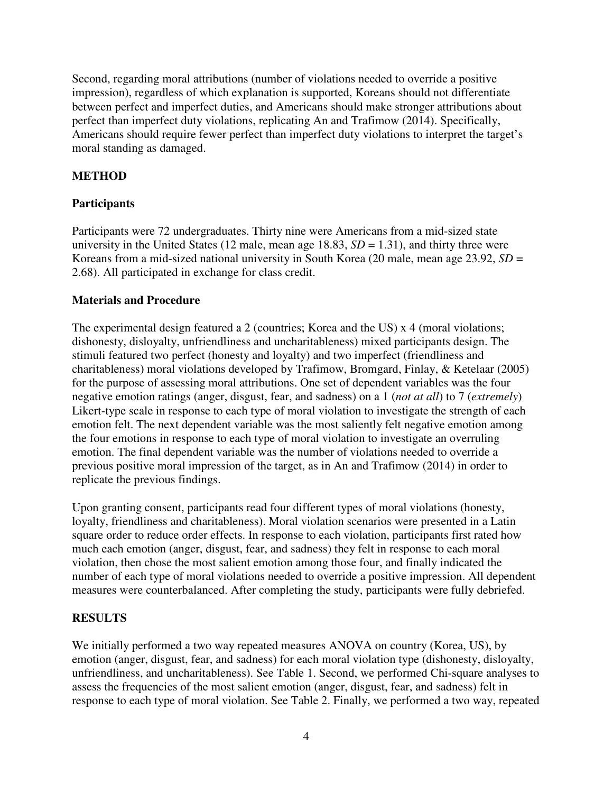Second, regarding moral attributions (number of violations needed to override a positive impression), regardless of which explanation is supported, Koreans should not differentiate between perfect and imperfect duties, and Americans should make stronger attributions about perfect than imperfect duty violations, replicating An and Trafimow (2014). Specifically, Americans should require fewer perfect than imperfect duty violations to interpret the target's moral standing as damaged.

## **METHOD**

## **Participants**

Participants were 72 undergraduates. Thirty nine were Americans from a mid-sized state university in the United States (12 male, mean age  $18.83$ ,  $SD = 1.31$ ), and thirty three were Koreans from a mid-sized national university in South Korea (20 male, mean age 23.92, *SD* = 2.68). All participated in exchange for class credit.

#### **Materials and Procedure**

The experimental design featured a 2 (countries; Korea and the US) x 4 (moral violations; dishonesty, disloyalty, unfriendliness and uncharitableness) mixed participants design. The stimuli featured two perfect (honesty and loyalty) and two imperfect (friendliness and charitableness) moral violations developed by Trafimow, Bromgard, Finlay, & Ketelaar (2005) for the purpose of assessing moral attributions. One set of dependent variables was the four negative emotion ratings (anger, disgust, fear, and sadness) on a 1 (*not at all*) to 7 (*extremely*) Likert-type scale in response to each type of moral violation to investigate the strength of each emotion felt. The next dependent variable was the most saliently felt negative emotion among the four emotions in response to each type of moral violation to investigate an overruling emotion. The final dependent variable was the number of violations needed to override a previous positive moral impression of the target, as in An and Trafimow (2014) in order to replicate the previous findings.

Upon granting consent, participants read four different types of moral violations (honesty, loyalty, friendliness and charitableness). Moral violation scenarios were presented in a Latin square order to reduce order effects. In response to each violation, participants first rated how much each emotion (anger, disgust, fear, and sadness) they felt in response to each moral violation, then chose the most salient emotion among those four, and finally indicated the number of each type of moral violations needed to override a positive impression. All dependent measures were counterbalanced. After completing the study, participants were fully debriefed.

## **RESULTS**

We initially performed a two way repeated measures ANOVA on country (Korea, US), by emotion (anger, disgust, fear, and sadness) for each moral violation type (dishonesty, disloyalty, unfriendliness, and uncharitableness). See Table 1. Second, we performed Chi-square analyses to assess the frequencies of the most salient emotion (anger, disgust, fear, and sadness) felt in response to each type of moral violation. See Table 2. Finally, we performed a two way, repeated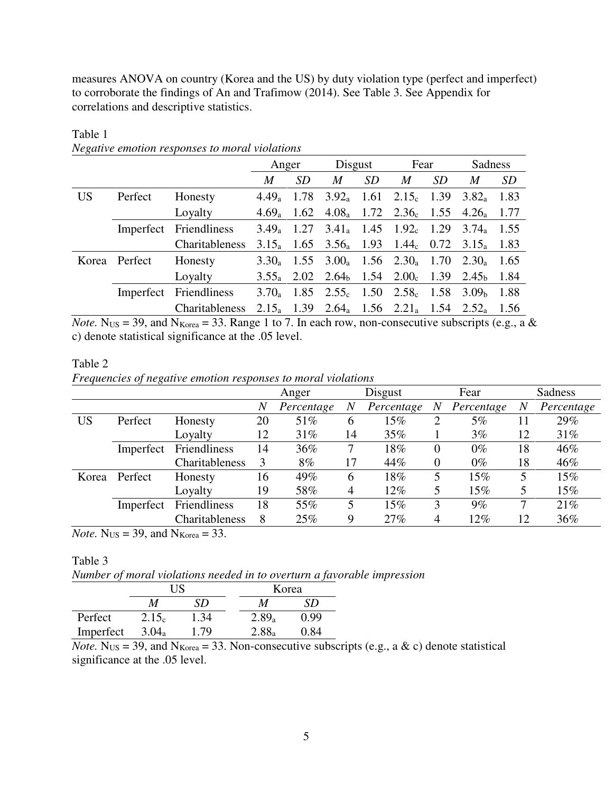measures ANOVA on country (Korea and the US) by duty violation type (perfect and imperfect) to corroborate the findings of An and Trafimow (2014). See Table 3. See Appendix for correlations and descriptive statistics.

|           |         |                        | Anger    |      | Disgust                                                                                |           | Fear           |           | Sadness                                                                                |      |
|-----------|---------|------------------------|----------|------|----------------------------------------------------------------------------------------|-----------|----------------|-----------|----------------------------------------------------------------------------------------|------|
|           |         |                        | M        | SD   | $\boldsymbol{M}$                                                                       | <i>SD</i> | $\overline{M}$ | <i>SD</i> | M                                                                                      | SD   |
| <b>US</b> | Perfect | Honesty                | $4.49_a$ | 1.78 | $3.92_{\rm a}$ 1.61 $2.15_{\rm c}$ 1.39                                                |           |                |           | $3.82_a$                                                                               | 1.83 |
|           |         | Loyalty                | $4.69_a$ |      | 1.62 $4.08_a$ 1.72 $2.36_c$ 1.55 $4.26_a$                                              |           |                |           |                                                                                        | 1.77 |
|           |         | Imperfect Friendliness | $3.49_a$ |      | 1.27 $3.41_a$ 1.45 $1.92_c$ 1.29                                                       |           |                |           | $3.74_a$                                                                               | 1.55 |
|           |         | Charitableness         |          |      |                                                                                        |           |                |           | 3.15 <sub>a</sub> 1.65 3.56 <sub>a</sub> 1.93 1.44 <sub>c</sub> 0.72 3.15 <sub>a</sub> | 1.83 |
| Korea     | Perfect | Honesty                | $3.30_a$ |      | 1.55 $3.00_a$ 1.56 $2.30_a$ 1.70                                                       |           |                |           | $2.30_a$                                                                               | 1.65 |
|           |         | Loyalty                |          |      | 3.55 <sub>a</sub> 2.02 2.64 <sub>b</sub> 1.54 2.00 <sub>c</sub> 1.39 2.45 <sub>b</sub> |           |                |           |                                                                                        | 1.84 |
|           |         | Imperfect Friendliness | $3.70_a$ |      | 1.85 $2.55_c$ 1.50 $2.58_c$ 1.58 $3.09_b$                                              |           |                |           |                                                                                        | 1.88 |
|           |         | Charitableness         |          |      | $2.15_a$ 1.39 $2.64_a$ 1.56 $2.21_a$ 1.54 $2.52_a$                                     |           |                |           |                                                                                        | 1.56 |

## *Negative emotion responses to moral violations*

*Note.* N<sub>US</sub> = 39, and N<sub>Korea</sub> = 33. Range 1 to 7. In each row, non-consecutive subscripts (e.g., a & c) denote statistical significance at the .05 level.

#### Table 2

Table 1

*Frequencies of negative emotion responses to moral violations* 

|       |           |                | Disgust<br>Anger |            | Fear |            | <b>Sadness</b>   |            |    |            |
|-------|-----------|----------------|------------------|------------|------|------------|------------------|------------|----|------------|
|       |           |                | $\overline{N}$   | Percentage | N    | Percentage | $\boldsymbol{N}$ | Percentage | N  | Percentage |
| US    | Perfect   | Honesty        | 20               | 51%        | 6    | $15\%$     | 2                | 5%         |    | 29%        |
|       |           | Loyalty        | 12               | 31%        | 14   | 35%        |                  | $3\%$      | 12 | $31\%$     |
|       | Imperfect | Friendliness   | 14               | 36%        |      | 18%        | $\theta$         | $0\%$      | 18 | 46%        |
|       |           | Charitableness | 3                | 8%         | 17   | 44%        | $\overline{0}$   | $0\%$      | 18 | 46%        |
| Korea | Perfect   | Honesty        | 16               | 49%        | 6    | $18\%$     | 5                | $15\%$     | 5  | 15%        |
|       |           | Loyalty        | 19               | 58%        | 4    | 12%        |                  | 15%        | 5  | $15\%$     |
|       | Imperfect | Friendliness   | 18               | 55%        | 5    | $15\%$     | 3                | 9%         | 7  | 21%        |
|       |           | Charitableness | 8                | 25%        | 9    | 27%        | 4                | 12%        | 12 | $36\%$     |

*Note.*  $N_{US} = 39$ , and  $N_{Korea} = 33$ .

#### Table 3

*Number of moral violations needed in to overturn a favorable impression*

|           | I I S             |      |  | Korea             |      |  |  |
|-----------|-------------------|------|--|-------------------|------|--|--|
|           | M                 | SD   |  | M                 | SD   |  |  |
| Perfect   | 2.15 <sub>c</sub> | 1.34 |  | 2.89 <sub>a</sub> | 0.99 |  |  |
| Imperfect | $3.04_a$          | 1.79 |  | $2.88_a$          | -84  |  |  |

*Note.* N<sub>US</sub> = 39, and N<sub>Korea</sub> = 33. Non-consecutive subscripts (e.g., a & c) denote statistical significance at the .05 level.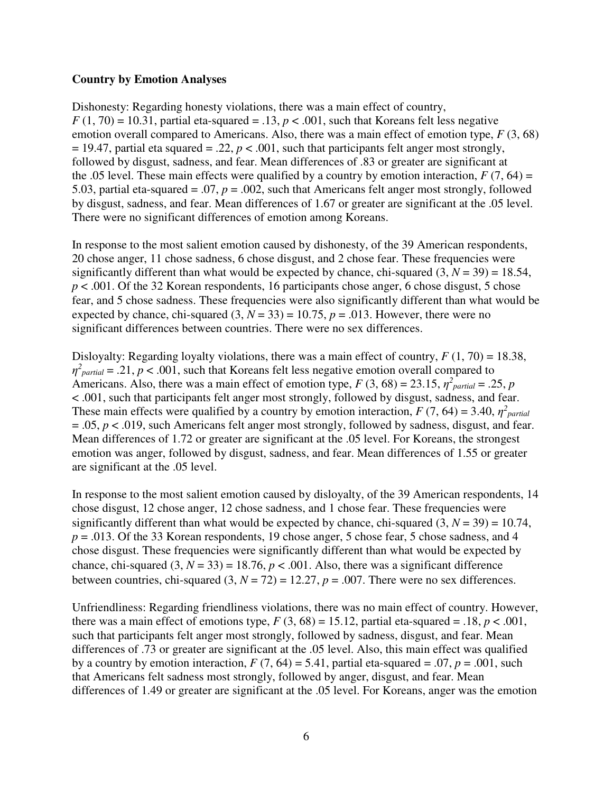#### **Country by Emotion Analyses**

Dishonesty: Regarding honesty violations, there was a main effect of country,  $F(1, 70) = 10.31$ , partial eta-squared = .13,  $p < .001$ , such that Koreans felt less negative emotion overall compared to Americans. Also, there was a main effect of emotion type, *F* (3, 68)  $= 19.47$ , partial eta squared  $= .22$ ,  $p < .001$ , such that participants felt anger most strongly, followed by disgust, sadness, and fear. Mean differences of .83 or greater are significant at the .05 level. These main effects were qualified by a country by emotion interaction,  $F(7, 64) =$ 5.03, partial eta-squared = .07, *p* = .002, such that Americans felt anger most strongly, followed by disgust, sadness, and fear. Mean differences of 1.67 or greater are significant at the .05 level. There were no significant differences of emotion among Koreans.

In response to the most salient emotion caused by dishonesty, of the 39 American respondents, 20 chose anger, 11 chose sadness, 6 chose disgust, and 2 chose fear. These frequencies were significantly different than what would be expected by chance, chi-squared  $(3, N = 39) = 18.54$ ,  $p < .001$ . Of the 32 Korean respondents, 16 participants chose anger, 6 chose disgust, 5 chose fear, and 5 chose sadness. These frequencies were also significantly different than what would be expected by chance, chi-squared  $(3, N = 33) = 10.75$ ,  $p = .013$ . However, there were no significant differences between countries. There were no sex differences.

Disloyalty: Regarding loyalty violations, there was a main effect of country,  $F(1, 70) = 18.38$ ,  $\eta^2_{partial}$  = .21, *p* < .001, such that Koreans felt less negative emotion overall compared to Americans. Also, there was a main effect of emotion type,  $F(3, 68) = 23.15$ ,  $\eta^2$ <sub>partial</sub> = .25, *p* < .001, such that participants felt anger most strongly, followed by disgust, sadness, and fear. These main effects were qualified by a country by emotion interaction,  $F(7, 64) = 3.40$ ,  $\eta^2$ <sub>partial</sub> = .05, *p* < .019, such Americans felt anger most strongly, followed by sadness, disgust, and fear. Mean differences of 1.72 or greater are significant at the .05 level. For Koreans, the strongest emotion was anger, followed by disgust, sadness, and fear. Mean differences of 1.55 or greater are significant at the .05 level.

In response to the most salient emotion caused by disloyalty, of the 39 American respondents, 14 chose disgust, 12 chose anger, 12 chose sadness, and 1 chose fear. These frequencies were significantly different than what would be expected by chance, chi-squared  $(3, N = 39) = 10.74$ ,  $p = 0.013$ . Of the 33 Korean respondents, 19 chose anger, 5 chose fear, 5 chose sadness, and 4 chose disgust. These frequencies were significantly different than what would be expected by chance, chi-squared  $(3, N = 33) = 18.76$ ,  $p < .001$ . Also, there was a significant difference between countries, chi-squared  $(3, N = 72) = 12.27$ ,  $p = .007$ . There were no sex differences.

Unfriendliness: Regarding friendliness violations, there was no main effect of country. However, there was a main effect of emotions type,  $F(3, 68) = 15.12$ , partial eta-squared = .18,  $p < .001$ , such that participants felt anger most strongly, followed by sadness, disgust, and fear. Mean differences of .73 or greater are significant at the .05 level. Also, this main effect was qualified by a country by emotion interaction,  $F(7, 64) = 5.41$ , partial eta-squared = .07,  $p = .001$ , such that Americans felt sadness most strongly, followed by anger, disgust, and fear. Mean differences of 1.49 or greater are significant at the .05 level. For Koreans, anger was the emotion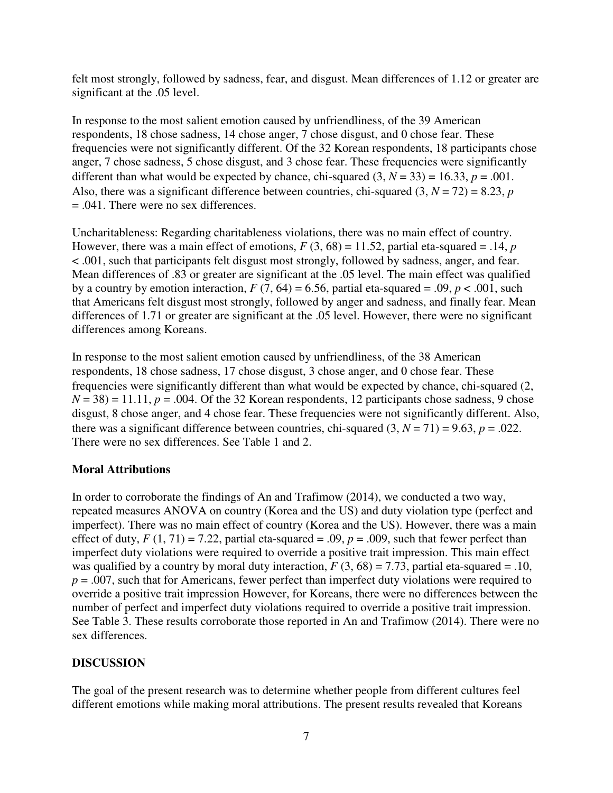felt most strongly, followed by sadness, fear, and disgust. Mean differences of 1.12 or greater are significant at the .05 level.

In response to the most salient emotion caused by unfriendliness, of the 39 American respondents, 18 chose sadness, 14 chose anger, 7 chose disgust, and 0 chose fear. These frequencies were not significantly different. Of the 32 Korean respondents, 18 participants chose anger, 7 chose sadness, 5 chose disgust, and 3 chose fear. These frequencies were significantly different than what would be expected by chance, chi-squared  $(3, N = 33) = 16.33$ ,  $p = .001$ . Also, there was a significant difference between countries, chi-squared  $(3, N = 72) = 8.23$ , *p* = .041. There were no sex differences.

Uncharitableness: Regarding charitableness violations, there was no main effect of country. However, there was a main effect of emotions,  $F(3, 68) = 11.52$ , partial eta-squared = .14, *p* < .001, such that participants felt disgust most strongly, followed by sadness, anger, and fear. Mean differences of .83 or greater are significant at the .05 level. The main effect was qualified by a country by emotion interaction,  $F(7, 64) = 6.56$ , partial eta-squared = .09,  $p < .001$ , such that Americans felt disgust most strongly, followed by anger and sadness, and finally fear. Mean differences of 1.71 or greater are significant at the .05 level. However, there were no significant differences among Koreans.

In response to the most salient emotion caused by unfriendliness, of the 38 American respondents, 18 chose sadness, 17 chose disgust, 3 chose anger, and 0 chose fear. These frequencies were significantly different than what would be expected by chance, chi-squared (2,  $N = 38$ ) = 11.11,  $p = .004$ . Of the 32 Korean respondents, 12 participants chose sadness, 9 chose disgust, 8 chose anger, and 4 chose fear. These frequencies were not significantly different. Also, there was a significant difference between countries, chi-squared  $(3, N = 71) = 9.63$ ,  $p = .022$ . There were no sex differences. See Table 1 and 2.

#### **Moral Attributions**

In order to corroborate the findings of An and Trafimow (2014), we conducted a two way, repeated measures ANOVA on country (Korea and the US) and duty violation type (perfect and imperfect). There was no main effect of country (Korea and the US). However, there was a main effect of duty,  $F(1, 71) = 7.22$ , partial eta-squared = .09,  $p = .009$ , such that fewer perfect than imperfect duty violations were required to override a positive trait impression. This main effect was qualified by a country by moral duty interaction,  $F(3, 68) = 7.73$ , partial eta-squared = .10,  $p = 0.007$ , such that for Americans, fewer perfect than imperfect duty violations were required to override a positive trait impression However, for Koreans, there were no differences between the number of perfect and imperfect duty violations required to override a positive trait impression. See Table 3. These results corroborate those reported in An and Trafimow (2014). There were no sex differences.

#### **DISCUSSION**

The goal of the present research was to determine whether people from different cultures feel different emotions while making moral attributions. The present results revealed that Koreans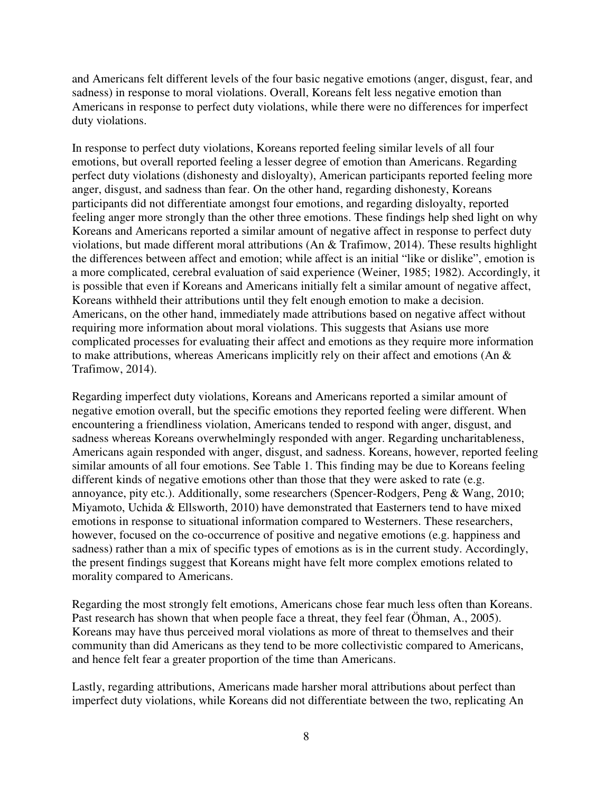and Americans felt different levels of the four basic negative emotions (anger, disgust, fear, and sadness) in response to moral violations. Overall, Koreans felt less negative emotion than Americans in response to perfect duty violations, while there were no differences for imperfect duty violations.

In response to perfect duty violations, Koreans reported feeling similar levels of all four emotions, but overall reported feeling a lesser degree of emotion than Americans. Regarding perfect duty violations (dishonesty and disloyalty), American participants reported feeling more anger, disgust, and sadness than fear. On the other hand, regarding dishonesty, Koreans participants did not differentiate amongst four emotions, and regarding disloyalty, reported feeling anger more strongly than the other three emotions. These findings help shed light on why Koreans and Americans reported a similar amount of negative affect in response to perfect duty violations, but made different moral attributions (An & Trafimow, 2014). These results highlight the differences between affect and emotion; while affect is an initial "like or dislike", emotion is a more complicated, cerebral evaluation of said experience (Weiner, 1985; 1982). Accordingly, it is possible that even if Koreans and Americans initially felt a similar amount of negative affect, Koreans withheld their attributions until they felt enough emotion to make a decision. Americans, on the other hand, immediately made attributions based on negative affect without requiring more information about moral violations. This suggests that Asians use more complicated processes for evaluating their affect and emotions as they require more information to make attributions, whereas Americans implicitly rely on their affect and emotions (An & Trafimow, 2014).

Regarding imperfect duty violations, Koreans and Americans reported a similar amount of negative emotion overall, but the specific emotions they reported feeling were different. When encountering a friendliness violation, Americans tended to respond with anger, disgust, and sadness whereas Koreans overwhelmingly responded with anger. Regarding uncharitableness, Americans again responded with anger, disgust, and sadness. Koreans, however, reported feeling similar amounts of all four emotions. See Table 1. This finding may be due to Koreans feeling different kinds of negative emotions other than those that they were asked to rate (e.g. annoyance, pity etc.). Additionally, some researchers (Spencer-Rodgers, Peng & Wang, 2010; Miyamoto, Uchida & Ellsworth, 2010) have demonstrated that Easterners tend to have mixed emotions in response to situational information compared to Westerners. These researchers, however, focused on the co-occurrence of positive and negative emotions (e.g. happiness and sadness) rather than a mix of specific types of emotions as is in the current study. Accordingly, the present findings suggest that Koreans might have felt more complex emotions related to morality compared to Americans.

Regarding the most strongly felt emotions, Americans chose fear much less often than Koreans. Past research has shown that when people face a threat, they feel fear (Öhman, A., 2005). Koreans may have thus perceived moral violations as more of threat to themselves and their community than did Americans as they tend to be more collectivistic compared to Americans, and hence felt fear a greater proportion of the time than Americans.

Lastly, regarding attributions, Americans made harsher moral attributions about perfect than imperfect duty violations, while Koreans did not differentiate between the two, replicating An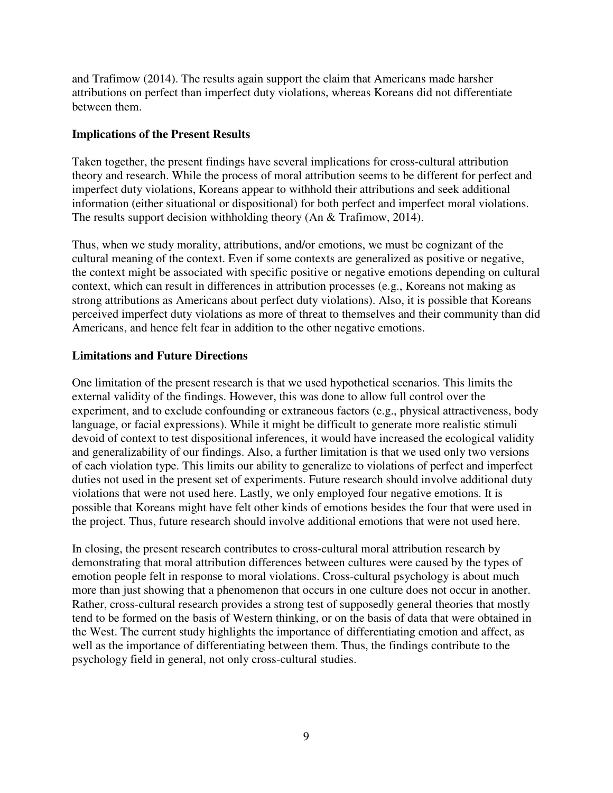and Trafimow (2014). The results again support the claim that Americans made harsher attributions on perfect than imperfect duty violations, whereas Koreans did not differentiate between them.

#### **Implications of the Present Results**

Taken together, the present findings have several implications for cross-cultural attribution theory and research. While the process of moral attribution seems to be different for perfect and imperfect duty violations, Koreans appear to withhold their attributions and seek additional information (either situational or dispositional) for both perfect and imperfect moral violations. The results support decision withholding theory (An & Trafimow, 2014).

Thus, when we study morality, attributions, and/or emotions, we must be cognizant of the cultural meaning of the context. Even if some contexts are generalized as positive or negative, the context might be associated with specific positive or negative emotions depending on cultural context, which can result in differences in attribution processes (e.g., Koreans not making as strong attributions as Americans about perfect duty violations). Also, it is possible that Koreans perceived imperfect duty violations as more of threat to themselves and their community than did Americans, and hence felt fear in addition to the other negative emotions.

#### **Limitations and Future Directions**

One limitation of the present research is that we used hypothetical scenarios. This limits the external validity of the findings. However, this was done to allow full control over the experiment, and to exclude confounding or extraneous factors (e.g., physical attractiveness, body language, or facial expressions). While it might be difficult to generate more realistic stimuli devoid of context to test dispositional inferences, it would have increased the ecological validity and generalizability of our findings. Also, a further limitation is that we used only two versions of each violation type. This limits our ability to generalize to violations of perfect and imperfect duties not used in the present set of experiments. Future research should involve additional duty violations that were not used here. Lastly, we only employed four negative emotions. It is possible that Koreans might have felt other kinds of emotions besides the four that were used in the project. Thus, future research should involve additional emotions that were not used here.

In closing, the present research contributes to cross-cultural moral attribution research by demonstrating that moral attribution differences between cultures were caused by the types of emotion people felt in response to moral violations. Cross-cultural psychology is about much more than just showing that a phenomenon that occurs in one culture does not occur in another. Rather, cross-cultural research provides a strong test of supposedly general theories that mostly tend to be formed on the basis of Western thinking, or on the basis of data that were obtained in the West. The current study highlights the importance of differentiating emotion and affect, as well as the importance of differentiating between them. Thus, the findings contribute to the psychology field in general, not only cross-cultural studies.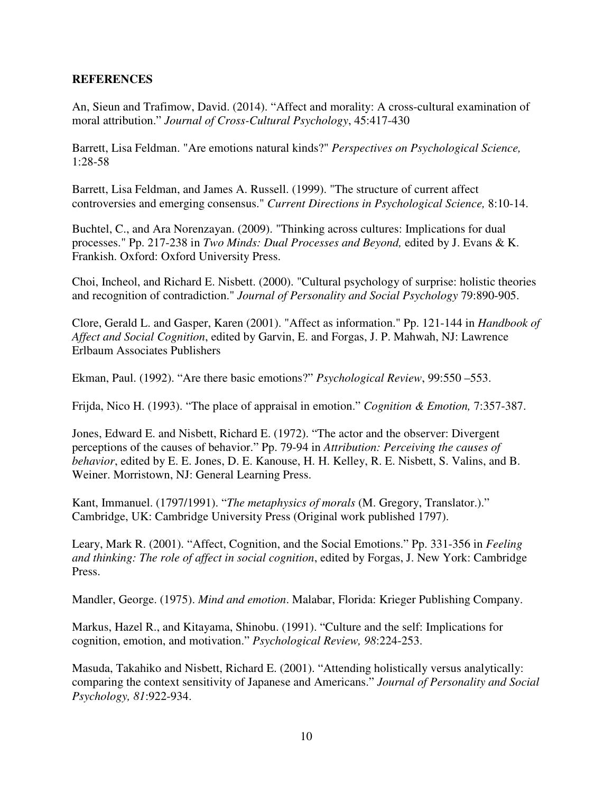#### **REFERENCES**

An, Sieun and Trafimow, David. (2014). "Affect and morality: A cross-cultural examination of moral attribution." *Journal of Cross-Cultural Psychology*, 45:417-430

Barrett, Lisa Feldman. "Are emotions natural kinds?" *Perspectives on Psychological Science,* 1:28-58

Barrett, Lisa Feldman, and James A. Russell. (1999). "The structure of current affect controversies and emerging consensus." *Current Directions in Psychological Science,* 8:10-14.

Buchtel, C., and Ara Norenzayan. (2009). "Thinking across cultures: Implications for dual processes." Pp. 217-238 in *Two Minds: Dual Processes and Beyond,* edited by J. Evans & K. Frankish. Oxford: Oxford University Press.

Choi, Incheol, and Richard E. Nisbett. (2000). "Cultural psychology of surprise: holistic theories and recognition of contradiction." *Journal of Personality and Social Psychology* 79:890-905.

Clore, Gerald L. and Gasper, Karen (2001). "Affect as information." Pp. 121-144 in *Handbook of Affect and Social Cognition*, edited by Garvin, E. and Forgas, J. P. Mahwah, NJ: Lawrence Erlbaum Associates Publishers

Ekman, Paul. (1992). "Are there basic emotions?" *Psychological Review*, 99:550 –553.

Frijda, Nico H. (1993). "The place of appraisal in emotion." *Cognition & Emotion,* 7:357-387.

Jones, Edward E. and Nisbett, Richard E. (1972). "The actor and the observer: Divergent perceptions of the causes of behavior." Pp. 79-94 in *Attribution: Perceiving the causes of behavior*, edited by E. E. Jones, D. E. Kanouse, H. H. Kelley, R. E. Nisbett, S. Valins, and B. Weiner. Morristown, NJ: General Learning Press.

Kant, Immanuel. (1797/1991). "*The metaphysics of morals* (M. Gregory, Translator.)." Cambridge, UK: Cambridge University Press (Original work published 1797).

Leary, Mark R. (2001). "Affect, Cognition, and the Social Emotions." Pp. 331-356 in *Feeling and thinking: The role of affect in social cognition*, edited by Forgas, J. New York: Cambridge Press.

Mandler, George. (1975). *Mind and emotion*. Malabar, Florida: Krieger Publishing Company.

Markus, Hazel R., and Kitayama, Shinobu. (1991). "Culture and the self: Implications for cognition, emotion, and motivation." *Psychological Review, 98*:224-253.

Masuda, Takahiko and Nisbett, Richard E. (2001). "Attending holistically versus analytically: comparing the context sensitivity of Japanese and Americans." *Journal of Personality and Social Psychology, 81*:922-934.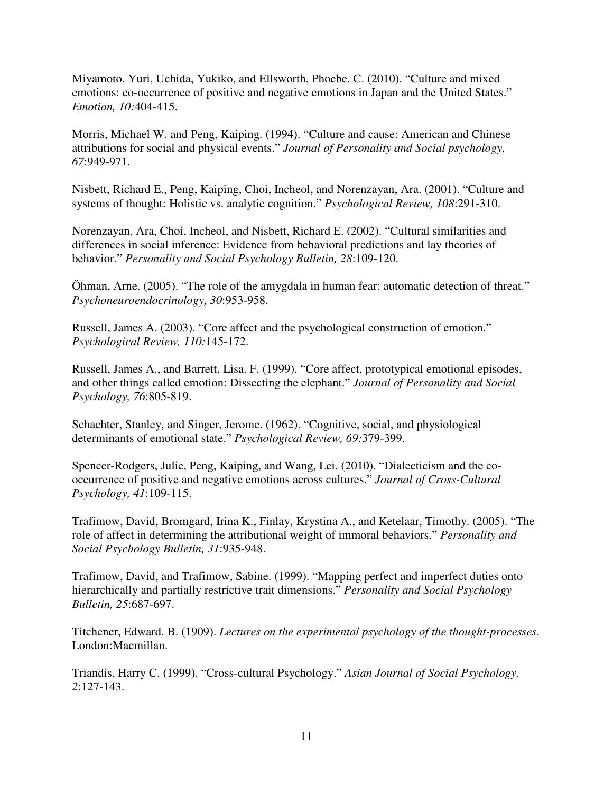Miyamoto, Yuri, Uchida, Yukiko, and Ellsworth, Phoebe. C. (2010). "Culture and mixed emotions: co-occurrence of positive and negative emotions in Japan and the United States." *Emotion, 10:*404-415.

Morris, Michael W. and Peng, Kaiping. (1994). "Culture and cause: American and Chinese attributions for social and physical events." *Journal of Personality and Social psychology, 67*:949-971.

Nisbett, Richard E., Peng, Kaiping, Choi, Incheol, and Norenzayan, Ara. (2001). "Culture and systems of thought: Holistic vs. analytic cognition." *Psychological Review, 108*:291-310.

Norenzayan, Ara, Choi, Incheol, and Nisbett, Richard E. (2002). "Cultural similarities and differences in social inference: Evidence from behavioral predictions and lay theories of behavior." *Personality and Social Psychology Bulletin, 28*:109-120.

Öhman, Arne. (2005). "The role of the amygdala in human fear: automatic detection of threat." *Psychoneuroendocrinology, 30*:953-958.

Russell, James A. (2003). "Core affect and the psychological construction of emotion." *Psychological Review, 110:*145-172.

Russell, James A., and Barrett, Lisa. F. (1999). "Core affect, prototypical emotional episodes, and other things called emotion: Dissecting the elephant." *Journal of Personality and Social Psychology, 76*:805-819.

Schachter, Stanley, and Singer, Jerome. (1962). "Cognitive, social, and physiological determinants of emotional state." *Psychological Review, 69:*379-399.

Spencer-Rodgers, Julie, Peng, Kaiping, and Wang, Lei. (2010). "Dialecticism and the cooccurrence of positive and negative emotions across cultures." *Journal of Cross-Cultural Psychology, 41*:109-115.

Trafimow, David, Bromgard, Irina K., Finlay, Krystina A., and Ketelaar, Timothy. (2005). "The role of affect in determining the attributional weight of immoral behaviors." *Personality and Social Psychology Bulletin, 31*:935-948.

Trafimow, David, and Trafimow, Sabine. (1999). "Mapping perfect and imperfect duties onto hierarchically and partially restrictive trait dimensions." *Personality and Social Psychology Bulletin, 25*:687-697.

Titchener, Edward. B. (1909). *Lectures on the experimental psychology of the thought-processes*. London:Macmillan.

Triandis, Harry C. (1999). "Cross-cultural Psychology." *Asian Journal of Social Psychology, 2*:127-143.